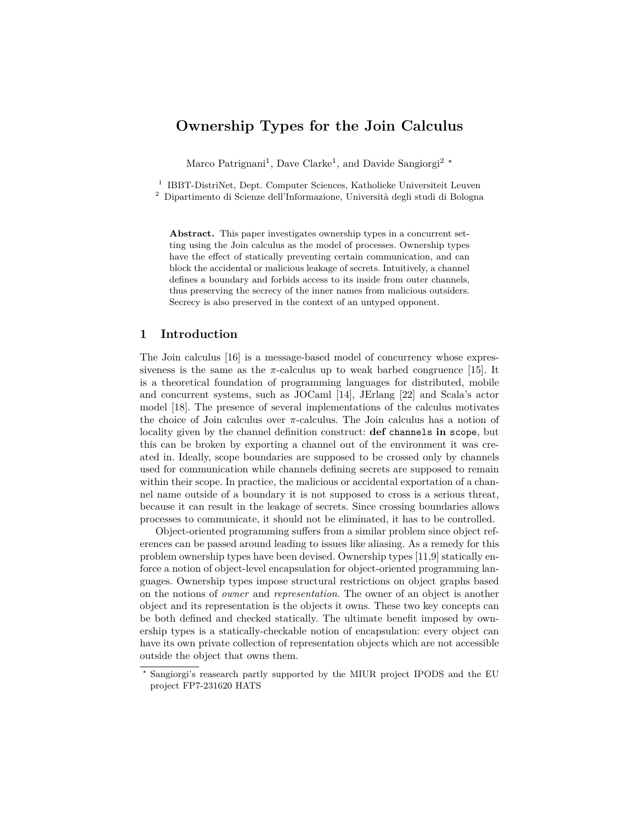# **Ownership Types for the Join Calculus**

Marco Patrignani<sup>1</sup>, Dave Clarke<sup>1</sup>, and Davide Sangiorgi<sup>2</sup><sup>\*</sup>

<sup>1</sup> IBBT-DistriNet, Dept. Computer Sciences, Katholieke Universiteit Leuven  $^{\rm 2}$  Dipartimento di Scienze dell'Informazione, Università degli studi di Bologna

**Abstract.** This paper investigates ownership types in a concurrent setting using the Join calculus as the model of processes. Ownership types have the effect of statically preventing certain communication, and can block the accidental or malicious leakage of secrets. Intuitively, a channel defines a boundary and forbids access to its inside from outer channels, thus preserving the secrecy of the inner names from malicious outsiders. Secrecy is also preserved in the context of an untyped opponent.

# **1 Introduction**

The Join calculus [\[16\]](#page-14-0) is a message-based model of concurrency whose expressiveness is the same as the  $\pi$ -calculus up to weak barbed congruence [\[15\]](#page-14-1). It is a theoretical foundation of programming languages for distributed, mobile and concurrent systems, such as JOCaml [\[14\]](#page-14-2), JErlang [\[22\]](#page-14-3) and Scala's actor model [\[18\]](#page-14-4). The presence of several implementations of the calculus motivates the choice of Join calculus over *π*-calculus. The Join calculus has a notion of locality given by the channel definition construct: **def** channels **in** scope, but this can be broken by exporting a channel out of the environment it was created in. Ideally, scope boundaries are supposed to be crossed only by channels used for communication while channels defining secrets are supposed to remain within their scope. In practice, the malicious or accidental exportation of a channel name outside of a boundary it is not supposed to cross is a serious threat, because it can result in the leakage of secrets. Since crossing boundaries allows processes to communicate, it should not be eliminated, it has to be controlled.

Object-oriented programming suffers from a similar problem since object references can be passed around leading to issues like aliasing. As a remedy for this problem ownership types have been devised. Ownership types [\[11](#page-14-5)[,9\]](#page-14-6) statically enforce a notion of object-level encapsulation for object-oriented programming languages. Ownership types impose structural restrictions on object graphs based on the notions of *owner* and *representation*. The owner of an object is another object and its representation is the objects it owns. These two key concepts can be both defined and checked statically. The ultimate benefit imposed by ownership types is a statically-checkable notion of encapsulation: every object can have its own private collection of representation objects which are not accessible outside the object that owns them.

*<sup>?</sup>* Sangiorgi's reasearch partly supported by the MIUR project IPODS and the EU project FP7-231620 HATS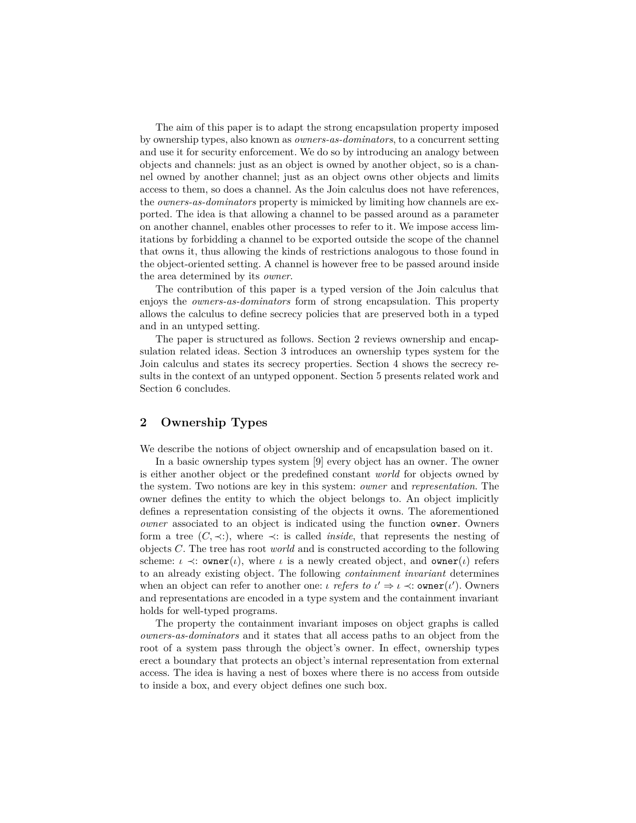The aim of this paper is to adapt the strong encapsulation property imposed by ownership types, also known as *owners-as-dominators*, to a concurrent setting and use it for security enforcement. We do so by introducing an analogy between objects and channels: just as an object is owned by another object, so is a channel owned by another channel; just as an object owns other objects and limits access to them, so does a channel. As the Join calculus does not have references, the *owners-as-dominators* property is mimicked by limiting how channels are exported. The idea is that allowing a channel to be passed around as a parameter on another channel, enables other processes to refer to it. We impose access limitations by forbidding a channel to be exported outside the scope of the channel that owns it, thus allowing the kinds of restrictions analogous to those found in the object-oriented setting. A channel is however free to be passed around inside the area determined by its *owner*.

The contribution of this paper is a typed version of the Join calculus that enjoys the *owners-as-dominators* form of strong encapsulation. This property allows the calculus to define secrecy policies that are preserved both in a typed and in an untyped setting.

The paper is structured as follows. Section [2](#page-1-0) reviews ownership and encapsulation related ideas. Section [3](#page-2-0) introduces an ownership types system for the Join calculus and states its secrecy properties. Section [4](#page-9-0) shows the secrecy results in the context of an untyped opponent. Section [5](#page-12-0) presents related work and Section [6](#page-13-0) concludes.

# <span id="page-1-0"></span>**2 Ownership Types**

We describe the notions of object ownership and of encapsulation based on it.

In a basic ownership types system [\[9\]](#page-14-6) every object has an owner. The owner is either another object or the predefined constant *world* for objects owned by the system. Two notions are key in this system: *owner* and *representation*. The owner defines the entity to which the object belongs to. An object implicitly defines a representation consisting of the objects it owns. The aforementioned *owner* associated to an object is indicated using the function owner. Owners form a tree  $(C, \prec)$ , where  $\prec$ : is called *inside*, that represents the nesting of objects *C*. The tree has root *world* and is constructed according to the following scheme:  $\iota \prec$ : owner( $\iota$ ), where  $\iota$  is a newly created object, and owner( $\iota$ ) refers to an already existing object. The following *containment invariant* determines when an object can refer to another one: *ι refers to*  $\iota' \Rightarrow \iota \prec$ : **owner**( $\iota'$ ). Owners and representations are encoded in a type system and the containment invariant holds for well-typed programs.

The property the containment invariant imposes on object graphs is called *owners-as-dominators* and it states that all access paths to an object from the root of a system pass through the object's owner. In effect, ownership types erect a boundary that protects an object's internal representation from external access. The idea is having a nest of boxes where there is no access from outside to inside a box, and every object defines one such box.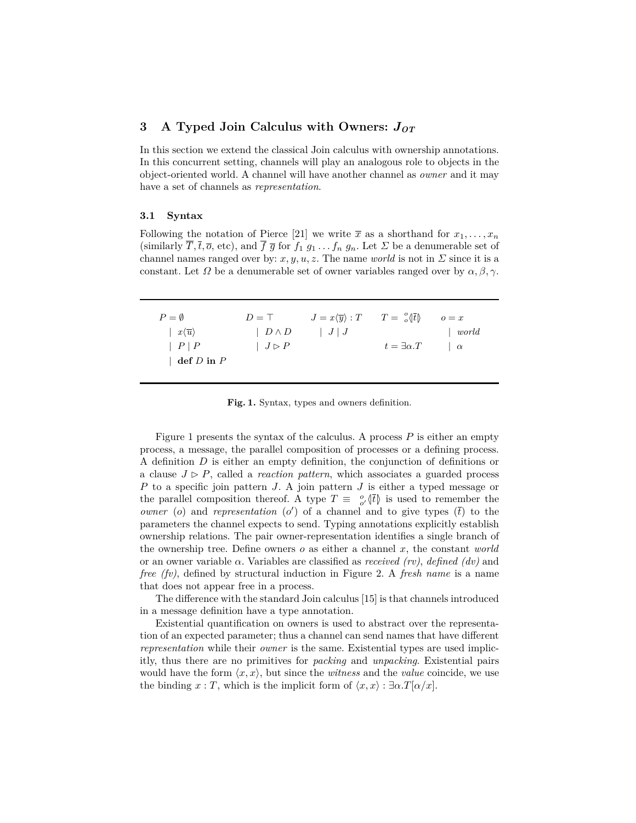# <span id="page-2-0"></span>**3 A Typed Join Calculus with Owners:** *JOT*

In this section we extend the classical Join calculus with ownership annotations. In this concurrent setting, channels will play an analogous role to objects in the object-oriented world. A channel will have another channel as *owner* and it may have a set of channels as *representation*.

### **3.1 Syntax**

Following the notation of Pierce [\[21\]](#page-14-7) we write  $\bar{x}$  as a shorthand for  $x_1, \ldots, x_n$ (similarly  $\overline{T}, \overline{t}, \overline{\phi}$ , etc), and  $\overline{f}$   $\overline{g}$  for  $f_1$   $g_1 \ldots f_n$   $g_n$ . Let  $\Sigma$  be a denumerable set of channel names ranged over by:  $x, y, u, z$ . The name *world* is not in  $\Sigma$  since it is a constant. Let  $\Omega$  be a denumerable set of owner variables ranged over by  $\alpha, \beta, \gamma$ .

| $P = \emptyset$                | $D = T$                   | $J = x \langle \overline{y} \rangle : T \quad T = \partial \overline{\partial} \overline{t}$ |                        | $o = x$  |
|--------------------------------|---------------------------|----------------------------------------------------------------------------------------------|------------------------|----------|
| $x\langle \overline{u}\rangle$ | $\mid D \wedge D$         | $J \mid J$                                                                                   |                        | word     |
| P P                            | $\mid J \triangleright P$ |                                                                                              | $t = \exists \alpha.T$ | $\alpha$ |
| $\vert$ def D in P             |                           |                                                                                              |                        |          |
|                                |                           |                                                                                              |                        |          |

<span id="page-2-1"></span>**Fig. 1.** Syntax, types and owners definition.

Figure [1](#page-2-1) presents the syntax of the calculus. A process *P* is either an empty process, a message, the parallel composition of processes or a defining process. A definition *D* is either an empty definition, the conjunction of definitions or a clause  $J \triangleright P$ , called a *reaction pattern*, which associates a guarded process *P* to a specific join pattern *J*. A join pattern *J* is either a typed message or the parallel composition thereof. A type  $T \equiv o_{o'}\langle \bar{t} \rangle$  is used to remember the *owner* (*o*) and *representation* (*o*') of a channel and to give types  $(\bar{t})$  to the parameters the channel expects to send. Typing annotations explicitly establish ownership relations. The pair owner-representation identifies a single branch of the ownership tree. Define owners *o* as either a channel *x*, the constant *world* or an owner variable *α*. Variables are classified as *received (rv)*, *defined (dv)* and *free (fv)*, defined by structural induction in Figure [2.](#page-3-0) A *fresh name* is a name that does not appear free in a process.

The difference with the standard Join calculus [\[15\]](#page-14-1) is that channels introduced in a message definition have a type annotation.

<span id="page-2-2"></span>Existential quantification on owners is used to abstract over the representation of an expected parameter; thus a channel can send names that have different *representation* while their *owner* is the same. Existential types are used implicitly, thus there are no primitives for *packing* and *unpacking*. Existential pairs would have the form  $\langle x, x \rangle$ , but since the *witness* and the *value* coincide, we use the binding  $x : T$ , which is the implicit form of  $\langle x, x \rangle : \exists \alpha \cdot T[\alpha/x]$ .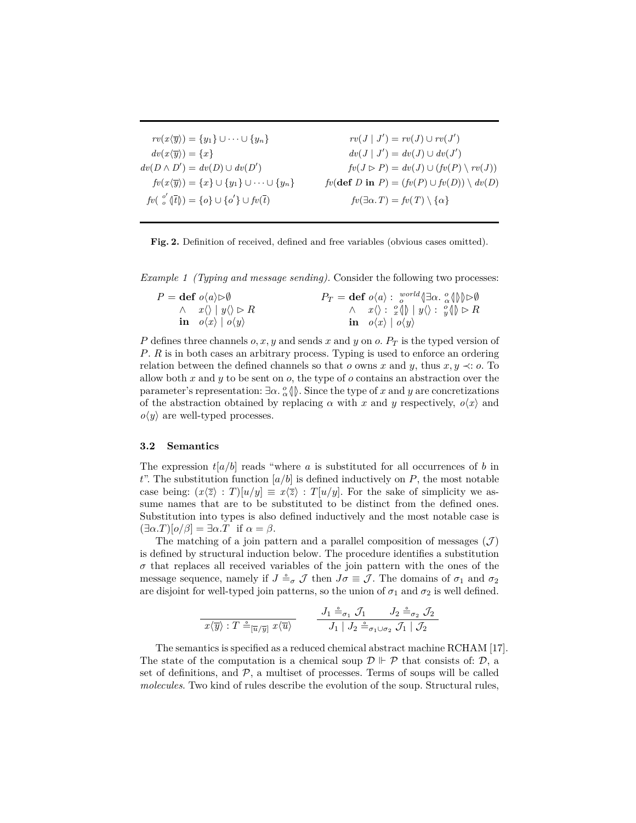| $rv(x\langle \overline{y}\rangle) = \{y_1\} \cup \cdots \cup \{y_n\}$                                 | $rv(J   J') = rv(J) \cup rv(J')$                                            |
|-------------------------------------------------------------------------------------------------------|-----------------------------------------------------------------------------|
| $dv(x\langle \overline{y}\rangle)=\{x\}$                                                              | $dv(J   J') = dv(J) \cup dv(J')$                                            |
| $dv(D \wedge D') = dv(D) \cup dv(D')$                                                                 | $fv(J \triangleright P) = dv(J) \cup (fv(P) \setminus rv(J))$               |
| $f(v(x\langle \overline{y}\rangle) = \{x\} \cup \{y_1\} \cup \cdots \cup \{y_n\}$                     | $f(v(\text{def } D \text{ in } P) = (f(v(P) \cup f(v(D))) \setminus dv(D))$ |
| $fv(\begin{bmatrix} o' \\ o \end{bmatrix} \overline{t}   ) = \{o\} \cup \{o'\} \cup fv(\overline{t})$ | $f(v(\exists \alpha, T) = fv(T) \setminus {\alpha}$                         |
|                                                                                                       |                                                                             |

<span id="page-3-0"></span>**Fig. 2.** Definition of received, defined and free variables (obvious cases omitted).

*Example 1 (Typing and message sending).* Consider the following two processes:

| $P = \mathbf{def} \ o\langle a \rangle \triangleright \emptyset$   |                                                                                                                         |
|--------------------------------------------------------------------|-------------------------------------------------------------------------------------------------------------------------|
| $\wedge x \langle \rangle \mid y \langle \rangle \triangleright R$ | $\wedge$ $x\langle\rangle: x \langle\!\!\!\langle \rangle \mid y \langle\rangle : y \langle\!\!\!\langle \rangle \in R$ |
| in $o\langle x\rangle$   $o\langle y\rangle$                       | in $o\langle x\rangle$   $o\langle y\rangle$                                                                            |

*P* defines three channels *o, x, y* and sends *x* and *y* on *o*. *P<sup>T</sup>* is the typed version of *P*. *R* is in both cases an arbitrary process. Typing is used to enforce an ordering relation between the defined channels so that *o* owns *x* and *y*, thus  $x, y \prec : o$ . To allow both *x* and *y* to be sent on *o*, the type of *o* contains an abstraction over the parameter's representation:  $\exists \alpha \cdot \alpha \in \alpha$  ( $\parallel$ ). Since the type of *x* and *y* are concretizations of the abstraction obtained by replacing  $\alpha$  with  $x$  and  $y$  respectively,  $o\langle x \rangle$  and  $o\langle y \rangle$  are well-typed processes.

#### **3.2 Semantics**

The expression  $t[a/b]$  reads "where *a* is substituted for all occurrences of *b* in *t*". The substitution function  $[a/b]$  is defined inductively on *P*, the most notable case being:  $(x\langle \overline{z}\rangle : T)[u/y] \equiv x\langle \overline{z}\rangle : T[u/y]$ . For the sake of simplicity we assume names that are to be substituted to be distinct from the defined ones. Substitution into types is also defined inductively and the most notable case is  $(\exists \alpha \cdot T)[\alpha/\beta] = \exists \alpha \cdot T$  if  $\alpha = \beta$ .

The matching of a join pattern and a parallel composition of messages  $(\mathcal{J})$ is defined by structural induction below. The procedure identifies a substitution  $\sigma$  that replaces all received variables of the join pattern with the ones of the message sequence, namely if  $J \triangleq_{\sigma} \mathcal{J}$  then  $J\sigma \equiv \mathcal{J}$ . The domains of  $\sigma_1$  and  $\sigma_2$ are disjoint for well-typed join patterns, so the union of  $\sigma_1$  and  $\sigma_2$  is well defined.

$$
\frac{J_1 \triangleq_{\sigma_1} J_1}{x\langle \overline{y} \rangle : T \triangleq_{\overline{[u/\overline{y}]} x\langle \overline{u} \rangle} \qquad \frac{J_1 \triangleq_{\sigma_1} J_1}{J_1 \mid J_2 \triangleq_{\sigma_1 \cup \sigma_2} J_1 \mid J_2}
$$

The semantics is specified as a reduced chemical abstract machine RCHAM [\[17\]](#page-14-8). The state of the computation is a chemical soup  $\mathcal{D} \Vdash \mathcal{P}$  that consists of:  $\mathcal{D}$ , a set of definitions, and  $P$ , a multiset of processes. Terms of soups will be called *molecules*. Two kind of rules describe the evolution of the soup. Structural rules,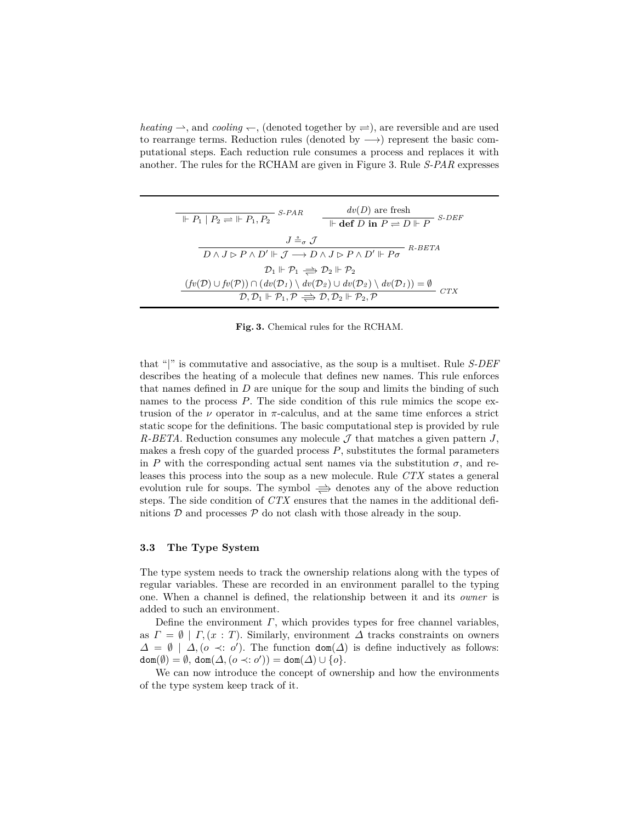*heating*  $\rightarrow$ , and *cooling*  $\leftarrow$ , (denoted together by  $\rightleftharpoons$ ), are reversible and are used to rearrange terms. Reduction rules (denoted by  $\longrightarrow$ ) represent the basic computational steps. Each reduction rule consumes a process and replaces it with another. The rules for the RCHAM are given in Figure [3.](#page-4-0) Rule *S-PAR* expresses

| $dv(D)$ are fresh<br>$S-PAR$<br>$F P_1   P_2 \rightleftharpoons F P_1, P_2$<br>$S\text{-}DEF$<br>$\mathbb{H}$ def D in $P \rightleftharpoons D \mathbb{H} P$             |  |  |  |
|--------------------------------------------------------------------------------------------------------------------------------------------------------------------------|--|--|--|
| $J \triangleq_{\sigma} \mathcal{J}$                                                                                                                                      |  |  |  |
| $R-BETA$<br>$D \wedge J \triangleright P \wedge D' \Vdash \mathcal{J} \longrightarrow D \wedge J \triangleright P \wedge D' \Vdash P \sigma$                             |  |  |  |
| $\mathcal{D}_1 \Vdash \mathcal{P}_1 \Longrightarrow \mathcal{D}_2 \Vdash \mathcal{P}_2$                                                                                  |  |  |  |
| $(fv(\mathcal{D}) \cup fv(\mathcal{P})) \cap (dv(\mathcal{D}_1) \setminus dv(\mathcal{D}_2) \cup dv(\mathcal{D}_2) \setminus dv(\mathcal{D}_1)) = \emptyset$<br>$_{CTX}$ |  |  |  |
| $\overline{\mathcal{D}, \mathcal{D}_1 \Vdash \mathcal{P}_1, \mathcal{P}} \Longrightarrow \overline{\mathcal{D}, \mathcal{D}_2 \Vdash \mathcal{P}_2, \mathcal{P}}$        |  |  |  |

<span id="page-4-0"></span>**Fig. 3.** Chemical rules for the RCHAM.

that "|" is commutative and associative, as the soup is a multiset. Rule *S-DEF* describes the heating of a molecule that defines new names. This rule enforces that names defined in *D* are unique for the soup and limits the binding of such names to the process *P*. The side condition of this rule mimics the scope extrusion of the  $\nu$  operator in  $\pi$ -calculus, and at the same time enforces a strict static scope for the definitions. The basic computational step is provided by rule *R-BETA*. Reduction consumes any molecule  $\mathcal J$  that matches a given pattern  $J$ , makes a fresh copy of the guarded process *P*, substitutes the formal parameters in *P* with the corresponding actual sent names via the substitution  $\sigma$ , and releases this process into the soup as a new molecule. Rule *CTX* states a general evolution rule for soups. The symbol  $\Rightarrow$  denotes any of the above reduction steps. The side condition of *CTX* ensures that the names in the additional definitions  $\mathcal D$  and processes  $\mathcal P$  do not clash with those already in the soup.

### **3.3 The Type System**

The type system needs to track the ownership relations along with the types of regular variables. These are recorded in an environment parallel to the typing one. When a channel is defined, the relationship between it and its *owner* is added to such an environment.

Define the environment  $\Gamma$ , which provides types for free channel variables, as  $\Gamma = \emptyset \mid \Gamma(x : T)$ . Similarly, environment  $\Delta$  tracks constraints on owners  $\Delta = \emptyset$  |  $\Delta$ , (*o*  $\prec$ : *o*'). The function  $\text{dom}(\Delta)$  is define inductively as follows:  $dom(\emptyset) = \emptyset$ ,  $dom(\Delta, (o \prec: o')) = dom(\Delta) \cup \{o\}.$ 

We can now introduce the concept of ownership and how the environments of the type system keep track of it.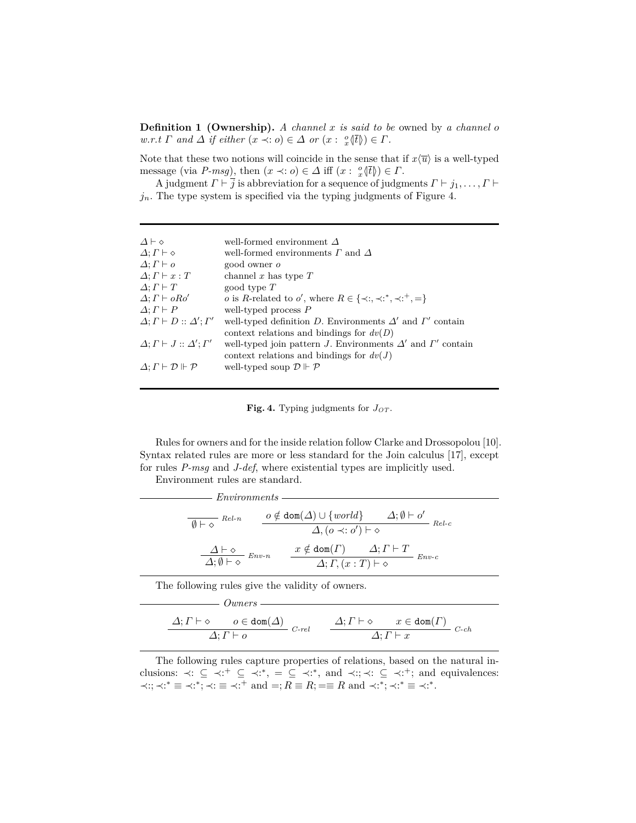**Definition 1 (Ownership).** *A channel x is said to be* owned by *a channel o*  $w.r.t$   $\Gamma$  and  $\Delta$  *if either*  $(x \prec b) \in \Delta$  *or*  $(x : \partial_x \langle \bar{t} \rangle) \in \Gamma$ *.* 

Note that these two notions will coincide in the sense that if  $x\langle \overline{u} \rangle$  is a well-typed message (via *P-msg*), then  $(x \prec : o) \in \Delta$  iff  $(x : \frac{o}{x} \langle \bar{t} \rangle) \in \Gamma$ .

A judgment  $\Gamma \vdash \overline{j}$  is abbreviation for a sequence of judgments  $\Gamma \vdash j_1, \ldots, \Gamma \vdash$  $j_n$ . The type system is specified via the typing judgments of Figure [4.](#page-5-0)

| $\Delta \vdash \diamond$                               | well-formed environment $\Delta$                                                                   |
|--------------------------------------------------------|----------------------------------------------------------------------------------------------------|
| $\Delta; \Gamma \vdash \diamond$                       | well-formed environments $\Gamma$ and $\Delta$                                                     |
| $\Delta; \Gamma \vdash o$                              | good owner $o$                                                                                     |
| $\Delta; \Gamma \vdash x : T$                          | channel x has type $T$                                                                             |
| $\Delta: \Gamma \vdash T$                              | good type $T$                                                                                      |
| $\Delta; \Gamma \vdash oRo'$                           | <i>o</i> is <i>R</i> -related to <i>o'</i> , where $R \in \{ \prec :, \prec :^*, \prec :^* , = \}$ |
| $\Delta: \Gamma \vdash P$                              | well-typed process $P$                                                                             |
| $\Delta; \Gamma \vdash D :: \Delta'; \Gamma'$          | well-typed definition D. Environments $\Delta'$ and $\Gamma'$ contain                              |
|                                                        | context relations and bindings for $dv(D)$                                                         |
| $\Delta; \Gamma \vdash J :: \Delta'; \Gamma'$          | well-typed join pattern J. Environments $\Delta'$ and $\Gamma'$ contain                            |
|                                                        | context relations and bindings for $dv(J)$                                                         |
| $\Delta: \Gamma \vdash \mathcal{D} \Vdash \mathcal{P}$ | well-typed soup $\mathcal{D} \Vdash \mathcal{P}$                                                   |
|                                                        |                                                                                                    |

<span id="page-5-0"></span>**Fig. 4.** Typing judgments for  $J_{OT}$ .

Rules for owners and for the inside relation follow Clarke and Drossopolou [\[10\]](#page-14-9). Syntax related rules are more or less standard for the Join calculus [\[17\]](#page-14-8), except for rules *P-msg* and *J-def*, where existential types are implicitly used.

Environment rules are standard.

| Environments                                                                      |                                                                                                       |                                          |
|-----------------------------------------------------------------------------------|-------------------------------------------------------------------------------------------------------|------------------------------------------|
| $\sqrt{\phi \vdash \Diamond}$ Rel-n                                               | $o \notin \text{dom}(\Delta) \cup \{world\}$<br>$\Delta, (\rho \prec : \rho') \vdash \diamond$        | $\Delta; \emptyset \vdash o'$<br>$Rel-c$ |
| $\frac{\Delta \vdash \diamond}{\Delta; \emptyset \vdash \diamond} \textit{Env-n}$ | $x \notin \text{dom}(\Gamma)$<br>$\Delta; \Gamma \vdash T$<br>$\Delta; \Gamma, (x:T) \vdash \diamond$ | $Env-c$                                  |

The following rules give the validity of owners.

| $Owners -$                                                         |                            |                           |                                                                             |
|--------------------------------------------------------------------|----------------------------|---------------------------|-----------------------------------------------------------------------------|
| $\Delta; \Gamma \vdash \diamond \qquad o \in \texttt{dom}(\Delta)$ | $\frac{1}{\sqrt{2}}$ C-rel |                           | $\Delta; \Gamma \vdash \diamond \qquad x \in \text{dom}(\Gamma)$<br>$C$ -ch |
| $\Delta: \Gamma \vdash o$                                          |                            | $\Delta: \Gamma \vdash x$ |                                                                             |

The following rules capture properties of relations, based on the natural inclusions:  $\prec: \subseteq \prec:^* \subseteq \prec:^*, \equiv \subseteq \prec:^*,$  and  $\prec: \prec: \subseteq \prec:^*$ ; and equivalences:  $\prec$ :;  $\prec$ :<sup>\*</sup>  $\equiv \prec$ :<sup>\*</sup>;  $\prec$ :  $\equiv \prec$ :<sup>+</sup> and  $\equiv$ ;  $R \equiv R$ ; =  $\equiv R$  and  $\prec$ :<sup>\*</sup>;  $\prec$ :<sup>\*</sup>  $\equiv \prec$ :<sup>\*</sup>.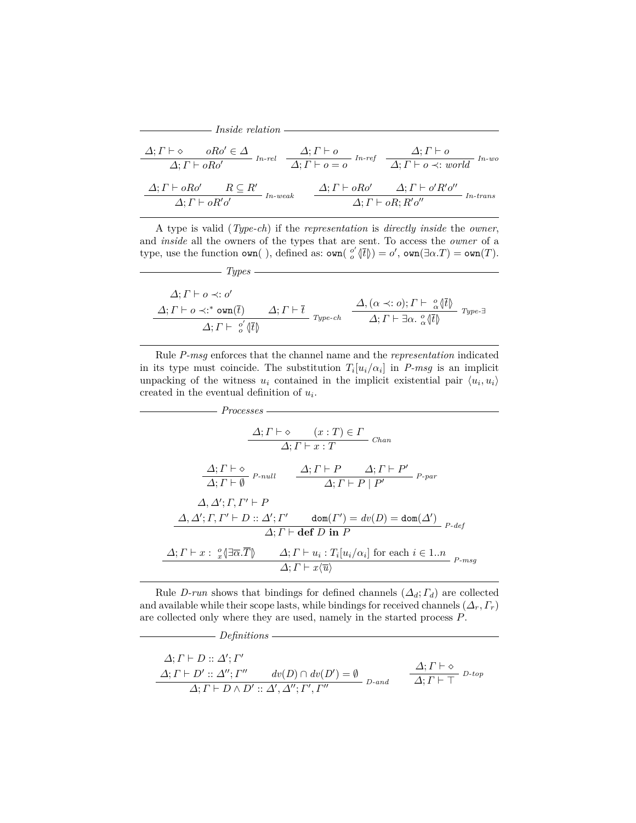$$
\begin{array}{c}\n\hline\n\text{Inside relation} \\
\hline\n\Delta; \Gamma \vdash \diamond \quad oRo' \in \Delta \\
\hline\n\Delta; \Gamma \vdash oRo' \\
\hline\n\Delta; \Gamma \vdash oRo' \\
\hline\n\Delta; \Gamma \vdash o \in \alpha\n\end{array}\n\quad\n\begin{array}{c}\n\Delta; \Gamma \vdash o \\
\hline\n\Delta; \Gamma \vdash o \\
\hline\n\Delta; \Gamma \vdash o \land \langle \cdot \rangle \quad \text{world} \\
\hline\n\Delta; \Gamma \vdash o \land \langle \cdot \rangle \quad \text{In-weak} \\
\hline\n\Delta; \Gamma \vdash o \in \alpha\n\end{array}\n\quad\n\begin{array}{c}\n\Delta; \Gamma \vdash o \\
\hline\n\Delta; \Gamma \vdash o \land \langle \cdot \rangle \quad \text{In-trans} \\
\hline\n\Delta; \Gamma \vdash o \in \alpha\n\end{array}
$$

A type is valid (*Type-ch*) if the *representation* is *directly inside* the *owner*, and *inside* all the owners of the types that are sent. To access the *owner* of a type, use the function  $\text{own}( \ )$ , defined as:  $\text{own}( \ c' \langle \bar{t} \rangle ) = o'$ ,  $\text{own}(\exists \alpha \cdot T) = \text{own}(T)$ .

 $\frac{1}{\sqrt{1 - \frac{1}{\sqrt{1 - \frac{1}{\sqrt{1 - \frac{1}{\sqrt{1 - \frac{1}{\sqrt{1 - \frac{1}{\sqrt{1 - \frac{1}{\sqrt{1 - \frac{1}{\sqrt{1 - \frac{1}{\sqrt{1 - \frac{1}{\sqrt{1 - \frac{1}{\sqrt{1 - \frac{1}{\sqrt{1 - \frac{1}{\sqrt{1 - \frac{1}{\sqrt{1 - \frac{1}{\sqrt{1 - \frac{1}{\sqrt{1 - \frac{1}{\sqrt{1 - \frac{1}{\sqrt{1 - \frac{1}{\sqrt{1 - \frac{1}{\sqrt{1 - \frac{1}{\sqrt{1 - \frac{1}{\sqrt{1 -$ 

*Definitions*

$$
\Delta; \Gamma \vdash o \prec: o' \n\Delta; \Gamma \vdash o \prec: \text{own}(\overline{t}) \qquad \Delta; \Gamma \vdash \overline{t} \qquad \qquad \Delta; (\alpha \prec: o); \Gamma \vdash \frac{o}{\alpha} \langle \overline{t} \rangle \qquad \qquad \tau_{ype \lnot \exists} \n\Delta; \Gamma \vdash \frac{o}{\alpha} \langle \overline{t} \rangle \qquad \qquad \Delta; \Gamma \vdash \exists \alpha. \frac{o}{\alpha} \langle \overline{t} \rangle \qquad \qquad \tau_{ype \lnot \exists}
$$

Rule *P-msg* enforces that the channel name and the *representation* indicated in its type must coincide. The substitution  $T_i[u_i/\alpha_i]$  in *P-msg* is an implicit unpacking of the witness  $u_i$  contained in the implicit existential pair  $\langle u_i, u_i \rangle$ created in the eventual definition of *u<sup>i</sup>* .

$$
Processes
$$
\n
$$
\Delta; \Gamma \vdash \diamond \qquad (x : T) \in \Gamma
$$
\n
$$
\Delta; \Gamma \vdash x : T
$$
\n
$$
\Delta; \Gamma \vdash \varnothing \qquad P\text{-null}
$$
\n
$$
\Delta; \Gamma \vdash P \qquad \Delta; \Gamma \vdash P'
$$
\n
$$
\Delta, \Delta'; \Gamma, \Gamma' \vdash P
$$
\n
$$
\Delta, \Delta'; \Gamma, \Gamma' \vdash P
$$
\n
$$
\Delta, \Delta'; \Gamma, \Gamma' \vdash D :: \Delta'; \Gamma' \qquad \text{dom}(\Gamma') = dv(D) = \text{dom}(\Delta')
$$
\n
$$
\Delta; \Gamma \vdash dx : \mathcal{P} \text{deg}(\Gamma) \qquad \text{dom}(\Gamma') = dv(D) = \text{dom}(\Delta')
$$
\n
$$
\Delta; \Gamma \vdash dx : T_i[u_i/\alpha_i] \text{ for each } i \in 1..n \qquad P\text{-msg}
$$
\n
$$
\Delta; \Gamma \vdash x \langle \overline{u} \rangle
$$

Rule *D-run* shows that bindings for defined channels  $(\Delta_d; \Gamma_d)$  are collected and available while their scope lasts, while bindings for received channels  $(\Delta_r, \Gamma_r)$ are collected only where they are used, namely in the started process *P*.

*∆*; *Γ* ` *D* :: *∆*<sup>0</sup> ; *Γ* 0 *∆*; *Γ* ` *D*<sup>0</sup> :: *∆*<sup>00</sup>; *Γ* <sup>00</sup> *dv*(*D*) ∩ *dv*(*D*<sup>0</sup> ) = ∅ *D-and ∆*; *Γ* ` *D* ∧ *D*<sup>0</sup> :: *∆*<sup>0</sup> *, ∆*<sup>00</sup>; *Γ* 0 *, Γ*<sup>00</sup> *∆*; *Γ* ` *D-top ∆*; *Γ* ` >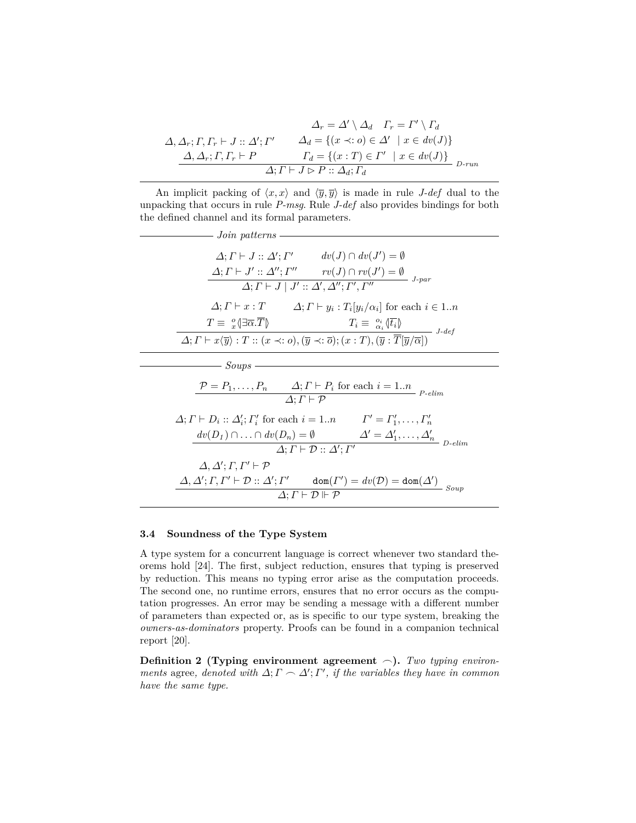$$
\Delta_r = \Delta' \setminus \Delta_d \quad \Gamma_r = \Gamma' \setminus \Gamma_d
$$
  

$$
\Delta, \Delta_r; \Gamma, \Gamma_r \vdash J :: \Delta'; \Gamma' \qquad \Delta_d = \{(x \prec : o) \in \Delta' \mid x \in dv(J)\}
$$
  

$$
\Delta, \Delta_r; \Gamma, \Gamma_r \vdash P \qquad \Gamma_d = \{(x : T) \in \Gamma' \mid x \in dv(J)\}
$$
  

$$
\Delta; \Gamma \vdash J \rhd P :: \Delta_d; \Gamma_d \qquad D\text{-}run
$$

An implicit packing of  $\langle x, x \rangle$  and  $\langle \overline{y}, \overline{y} \rangle$  is made in rule *J-def* dual to the unpacking that occurs in rule *P-msg*. Rule *J-def* also provides bindings for both the defined channel and its formal parameters.

| $-$ Join patterns $-$                                                                                                                                                                                            |
|------------------------------------------------------------------------------------------------------------------------------------------------------------------------------------------------------------------|
|                                                                                                                                                                                                                  |
| $\Delta; \Gamma \vdash J :: \Delta'; \Gamma'$ $dv(J) \cap dv(J') = \emptyset$                                                                                                                                    |
|                                                                                                                                                                                                                  |
| $\frac{\Delta; \Gamma \vdash J':: \Delta''; \Gamma'' \qquad rv(J) \cap rv(J') = \emptyset}{\Delta; \Gamma \vdash J \mid J':: \Delta', \Delta''; \Gamma', \Gamma''} \quad J\text{-}par}$                          |
| $\Delta; \Gamma \vdash x : T$ $\Delta; \Gamma \vdash y_i : T_i[y_i/\alpha_i]$ for each $i \in 1n$                                                                                                                |
| $T \equiv \frac{o}{r} \langle \exists \overline{\alpha}.T \rangle$<br>$T_i \equiv \frac{o_i}{\alpha_i} \langle \overline{t_i} \rangle$                                                                           |
| $\frac{1}{J^2}$ J-def<br>$\Delta; \Gamma \vdash x\langle \overline{y} \rangle : T :: (x \prec : o), (\overline{y} \prec : \overline{o}); (x : T), (\overline{y} : \overline{T}[\overline{y}/\overline{\alpha}])$ |
| $-$ Soups -                                                                                                                                                                                                      |
|                                                                                                                                                                                                                  |
| $\frac{\mathcal{P} = P_1, \dots, P_n \quad \Delta; \Gamma \vdash P_i \text{ for each } i = 1n}{\Delta; \Gamma \vdash \mathcal{P}}$ P-elim                                                                        |
|                                                                                                                                                                                                                  |
| $\Delta; \Gamma \vdash D_i :: \Delta'_i; \Gamma'_i$ for each $i = 1n$ $\Gamma' = \Gamma'_1, \ldots, \Gamma'_n$                                                                                                   |
| $dv(D_1) \cap  \cap dv(D_n) = \emptyset$<br>$\Delta' = \Delta'_1, \ldots, \Delta'_n$ D-elim                                                                                                                      |
| $\Delta; \Gamma \vdash \mathcal{D} :: \Delta'; \Gamma'$                                                                                                                                                          |
| $\Delta, \Delta'; \Gamma, \Gamma' \vdash \mathcal{P}$                                                                                                                                                            |
| $\Delta, \Delta'; \Gamma, \Gamma' \vdash \mathcal{D} :: \Delta'; \Gamma'$ $\underline{\mathrm{dom}(\Gamma')} = dv(\mathcal{D}) = \mathrm{dom}(\Delta')$ $_{Soup}$                                                |
| $\Delta: \Gamma \vdash \mathcal{D} \Vdash \mathcal{P}$                                                                                                                                                           |
|                                                                                                                                                                                                                  |

### **3.4 Soundness of the Type System**

A type system for a concurrent language is correct whenever two standard theorems hold [\[24\]](#page-14-10). The first, subject reduction, ensures that typing is preserved by reduction. This means no typing error arise as the computation proceeds. The second one, no runtime errors, ensures that no error occurs as the computation progresses. An error may be sending a message with a different number of parameters than expected or, as is specific to our type system, breaking the *owners-as-dominators* property. Proofs can be found in a companion technical report [\[20\]](#page-14-11).

**Definition 2 (Typing environment agreement** *\_***).** *Two typing environments* agree, denoted with  $\Delta$ ;  $\Gamma \sim \Delta'$ ;  $\Gamma'$ , if the variables they have in common *have the same type.*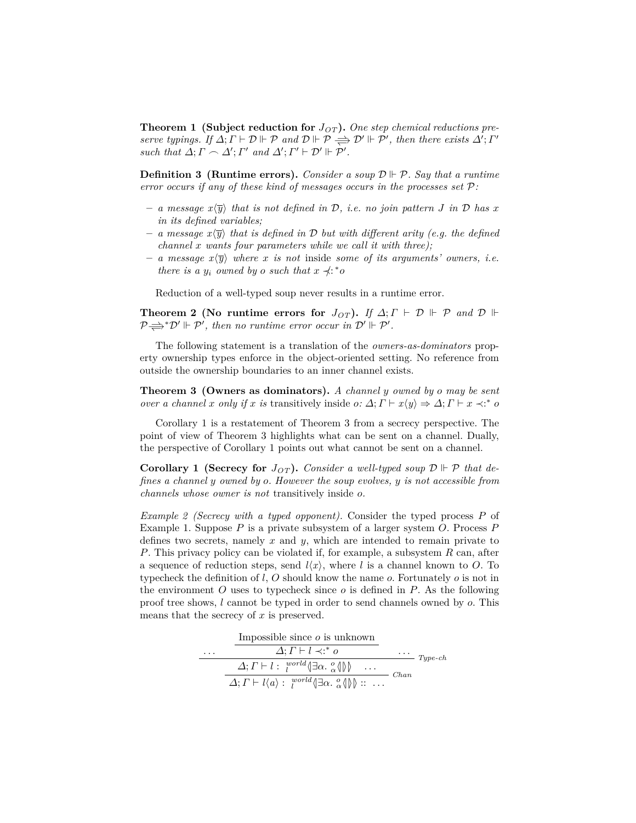**Theorem 1** (Subject reduction for  $J_{OT}$ ). One step chemical reductions pre*serve typings.* If  $\Delta$ ;  $\Gamma \vdash \mathcal{D} \Vdash \mathcal{P}$  and  $\mathcal{D} \Vdash \mathcal{P} \implies \mathcal{D}' \Vdash \mathcal{P}'$ , then there exists  $\Delta'$ ;  $\Gamma'$ *such that*  $\Delta$ ;  $\Gamma \sim \Delta'$ ;  $\Gamma'$  *and*  $\Delta'$ ;  $\Gamma' \vdash \mathcal{D}' \Vdash \mathcal{P}'$ .

**Definition 3 (Runtime errors).** *Consider a soup*  $\mathcal{D} \Vdash \mathcal{P}$ *. Say that a runtime error occurs if any of these kind of messages occurs in the processes set* P*:*

- $-$  *a* message  $x\langle \overline{y} \rangle$  that is not defined in D, i.e. no join pattern J in D has x *in its defined variables;*
- $-$  *a* message  $x\langle \overline{y} \rangle$  that is defined in D but with different arity (e.g. the defined *channel x wants four parameters while we call it with three);*
- $-$  *a message*  $x\langle \overline{y} \rangle$  *where x is not* inside *some of its arguments' owners, i.e. there is a*  $y_i$  *owned by o such that*  $x \nlessdot^* o$

<span id="page-8-1"></span>Reduction of a well-typed soup never results in a runtime error.

**Theorem 2 (No runtime errors for**  $J_{OT}$ ). If  $\Delta; \Gamma \vdash \mathcal{D} \Vdash \mathcal{P}$  and  $\mathcal{D} \Vdash \mathcal{P}$  $\mathcal{P} \Longrightarrow^* \mathcal{D}' \Vdash \mathcal{P}'$ , then no runtime error occur in  $\mathcal{D}' \Vdash \mathcal{P}'$ .

The following statement is a translation of the *owners-as-dominators* property ownership types enforce in the object-oriented setting. No reference from outside the ownership boundaries to an inner channel exists.

**Theorem 3 (Owners as dominators).** *A channel y owned by o may be sent over a channel x only* if *x* is transitively inside *o*:  $\Delta$ ;  $\Gamma \vdash x \langle y \rangle \Rightarrow \Delta$ ;  $\Gamma \vdash x \prec$ :<sup>\*</sup> *o* 

Corollary [1](#page-8-0) is a restatement of Theorem [3](#page-8-1) from a secrecy perspective. The point of view of Theorem [3](#page-8-1) highlights what can be sent on a channel. Dually, the perspective of Corollary [1](#page-8-0) points out what cannot be sent on a channel.

**Corollary 1** (Secrecy for  $J_{OT}$ ). *Consider a well-typed soup*  $D \Vdash \mathcal{P}$  *that defines a channel y owned by o. However the soup evolves, y is not accessible from channels whose owner is not* transitively inside *o.*

<span id="page-8-2"></span>*Example 2 (Secrecy with a typed opponent).* Consider the typed process *P* of Example [1.](#page-2-2) Suppose *P* is a private subsystem of a larger system *O*. Process *P* defines two secrets, namely *x* and *y*, which are intended to remain private to *P*. This privacy policy can be violated if, for example, a subsystem *R* can, after a sequence of reduction steps, send  $l\langle x \rangle$ , where *l* is a channel known to *O*. To typecheck the definition of *l*, *O* should know the name *o*. Fortunately *o* is not in the environment  $O$  uses to typecheck since  $o$  is defined in  $P$ . As the following proof tree shows, *l* cannot be typed in order to send channels owned by *o*. This means that the secrecy of *x* is preserved.

<span id="page-8-0"></span>Impossible since *o* is unknown

| . | $\Delta; \Gamma \vdash l \prec :^* o$                                                                                   | $\cdots$ | $\frac{}{}$ Type-ch |
|---|-------------------------------------------------------------------------------------------------------------------------|----------|---------------------|
|   | $\Delta; \Gamma \vdash l : \sqrt[word]{\exists \alpha \cdot \alpha} \langle \rangle \rangle \rangle \quad \dots$        |          |                     |
|   | $\Delta; \Gamma \vdash l \langle a \rangle : \iota^{world} \langle \exists \alpha. \alpha \langle \phi \rangle : \dots$ | Chan     |                     |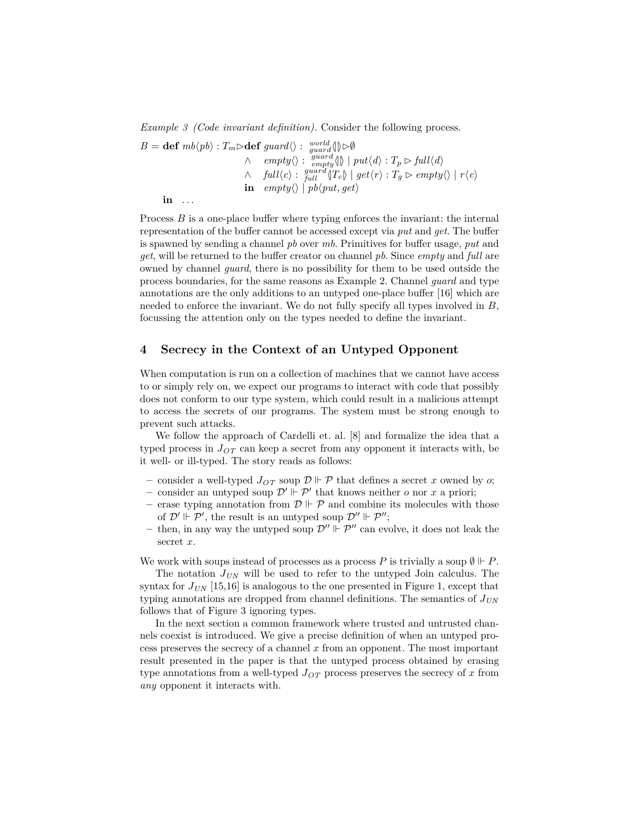*Example 3 (Code invariant definition).* Consider the following process.

 $B = \textbf{def} \ mb\langle pb \rangle : T_m \rhd \textbf{def} \ guard \langle \rangle : \ \frac{world}{guard} \langle \hspace{-0.2em} \langle \hspace{-0.2em} \rangle \rhd \emptyset$  $\wedge$  *empty* $\langle \rangle$ :  $\frac{guard}{empty} \langle \rangle \mid put \langle d \rangle : T_p \triangleright full \langle d \rangle$  $\land$   $\quad \textit{full} \langle c \rangle : \left. \begin{array}{l} \textit{guard} \ \textit{f}(T_c) \mid \textit{get}\langle r \rangle : T_g \vartriangleright \textit{empty} \langle \rangle \mid \textit{r}\langle c \rangle \end{array} \right.$  $\textbf{in}$  *empty* $\langle \rangle$   $\vert$   $pb\langle put, get\rangle$ 

**in** *. . .*

Process *B* is a one-place buffer where typing enforces the invariant: the internal representation of the buffer cannot be accessed except via *put* and *get*. The buffer is spawned by sending a channel *pb* over *mb*. Primitives for buffer usage, *put* and *get*, will be returned to the buffer creator on channel *pb*. Since *empty* and *full* are owned by channel *guard*, there is no possibility for them to be used outside the process boundaries, for the same reasons as Example [2.](#page-8-2) Channel *guard* and type annotations are the only additions to an untyped one-place buffer [\[16\]](#page-14-0) which are needed to enforce the invariant. We do not fully specify all types involved in *B*, focussing the attention only on the types needed to define the invariant.

## <span id="page-9-0"></span>**4 Secrecy in the Context of an Untyped Opponent**

When computation is run on a collection of machines that we cannot have access to or simply rely on, we expect our programs to interact with code that possibly does not conform to our type system, which could result in a malicious attempt to access the secrets of our programs. The system must be strong enough to prevent such attacks.

We follow the approach of Cardelli et. al. [\[8\]](#page-14-12) and formalize the idea that a typed process in *JOT* can keep a secret from any opponent it interacts with, be it well- or ill-typed. The story reads as follows:

- consider a well-typed  $J_{OT}$  soup  $\mathcal{D} \Vdash \mathcal{P}$  that defines a secret *x* owned by *o*;
- $-$  consider an untyped soup  $\mathcal{D}' \Vdash \mathcal{P}'$  that knows neither *o* nor *x* a priori;
- $\sim$  erase typing annotation from  $\mathcal{D} \Vdash \mathcal{P}$  and combine its molecules with those of  $\mathcal{D}' \Vdash \mathcal{P}'$ , the result is an untyped soup  $\mathcal{D}'' \Vdash \mathcal{P}''$ ;
- then, in any way the untyped soup  $\mathcal{D}'' \Vdash \mathcal{P}''$  can evolve, it does not leak the secret *x*.

We work with soups instead of processes as a process  $P$  is trivially a soup  $\emptyset \Vdash P$ .

The notation  $J_{UN}$  will be used to refer to the untyped Join calculus. The syntax for  $J_{UN}$  [\[15](#page-14-1)[,16\]](#page-14-0) is analogous to the one presented in Figure [1,](#page-2-1) except that typing annotations are dropped from channel definitions. The semantics of  $J_{UN}$ follows that of Figure [3](#page-4-0) ignoring types.

In the next section a common framework where trusted and untrusted channels coexist is introduced. We give a precise definition of when an untyped process preserves the secrecy of a channel *x* from an opponent. The most important result presented in the paper is that the untyped process obtained by erasing type annotations from a well-typed  $J_{OT}$  process preserves the secrecy of  $x$  from *any* opponent it interacts with.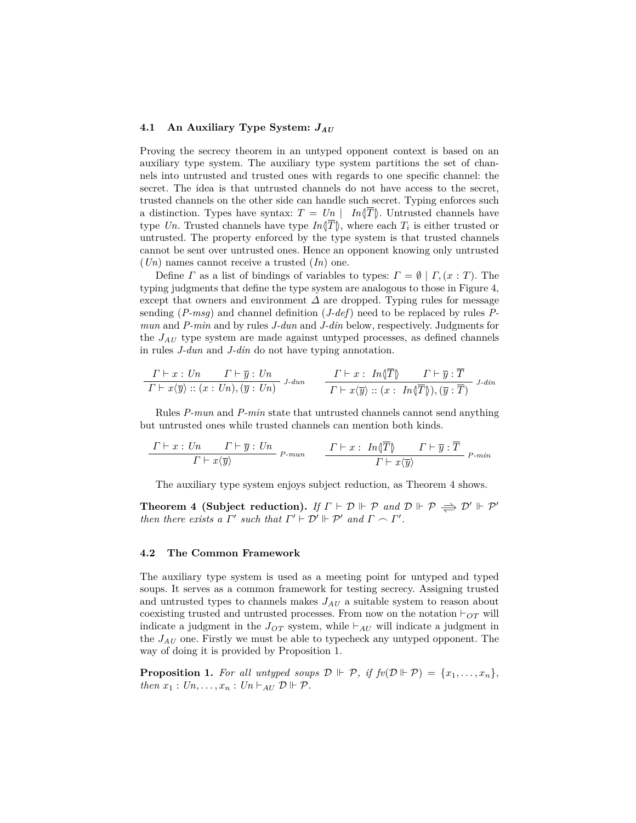#### **4.1 An Auxiliary Type System:** *JAU*

Proving the secrecy theorem in an untyped opponent context is based on an auxiliary type system. The auxiliary type system partitions the set of channels into untrusted and trusted ones with regards to one specific channel: the secret. The idea is that untrusted channels do not have access to the secret, trusted channels on the other side can handle such secret. Typing enforces such a distinction. Types have syntax:  $T = Un \int ln\{\overline{T}\}\$ . Untrusted channels have type *Un*. Trusted channels have type  $In(T)$ , where each  $T_i$  is either trusted or untrusted. The property enforced by the type system is that trusted channels cannot be sent over untrusted ones. Hence an opponent knowing only untrusted (*Un*) names cannot receive a trusted (*In*) one.

Define *Γ* as a list of bindings of variables to types:  $\Gamma = \emptyset \mid \Gamma, (x : T)$ . The typing judgments that define the type system are analogous to those in Figure [4,](#page-5-0) except that owners and environment  $\Delta$  are dropped. Typing rules for message sending (*P-msg*) and channel definition (*J-def*) need to be replaced by rules *Pmun* and *P-min* and by rules *J-dun* and *J-din* below, respectively. Judgments for the *JAU* type system are made against untyped processes, as defined channels in rules *J-dun* and *J-din* do not have typing annotation.

$$
\frac{\Gamma \vdash x : Un \qquad \Gamma \vdash \overline{y} : Un}{\Gamma \vdash x\langle \overline{y} \rangle :: (x : Un), (\overline{y} : Un)} \quad J\text{-}dun} \qquad \frac{\Gamma \vdash x : In \langle \overline{T} \rangle \qquad \Gamma \vdash \overline{y} : \overline{T}}{\Gamma \vdash x\langle \overline{y} \rangle :: (x : In \langle \overline{T} \rangle), (\overline{y} : \overline{T})} \quad J\text{-}dim}
$$

Rules *P-mun* and *P-min* state that untrusted channels cannot send anything but untrusted ones while trusted channels can mention both kinds.

$$
\frac{\Gamma \vdash x : Un \qquad \Gamma \vdash \overline{y} : Un}{\Gamma \vdash x\langle \overline{y} \rangle} \quad P\text{-}mun \qquad \frac{\Gamma \vdash x : \ In \langle \overline{T} \rangle \qquad \Gamma \vdash \overline{y} : \overline{T} \qquad \Gamma \text{-} min}{\Gamma \vdash x\langle \overline{y} \rangle} \quad P\text{-}min
$$

<span id="page-10-0"></span>The auxiliary type system enjoys subject reduction, as Theorem [4](#page-10-0) shows.

**Theorem 4 (Subject reduction).** *If*  $\Gamma \vdash \mathcal{D} \Vdash \mathcal{P}$  and  $\mathcal{D} \Vdash \mathcal{P} \implies \mathcal{D}' \Vdash \mathcal{P}'$ *then there exists a*  $\Gamma'$  *such that*  $\Gamma' \vdash \mathcal{D}' \Vdash \mathcal{P}'$  *and*  $\Gamma \sim \Gamma'$ *.* 

#### **4.2 The Common Framework**

The auxiliary type system is used as a meeting point for untyped and typed soups. It serves as a common framework for testing secrecy. Assigning trusted and untrusted types to channels makes  $J_{AU}$  a suitable system to reason about coexisting trusted and untrusted processes. From now on the notation  $\vdash_{OT}$  will indicate a judgment in the  $J_{OT}$  system, while  $\vdash_{AU}$  will indicate a judgment in the *JAU* one. Firstly we must be able to typecheck any untyped opponent. The way of doing it is provided by Proposition [1.](#page-10-1)

<span id="page-10-1"></span>**Proposition 1.** For all untyped soups  $\mathcal{D} \Vdash \mathcal{P}$ , if  $f \nu(\mathcal{D} \Vdash \mathcal{P}) = \{x_1, \ldots, x_n\}$ , *then*  $x_1 : Un, \ldots, x_n : Un \vdash_{AU} \mathcal{D} \Vdash \mathcal{P}$ .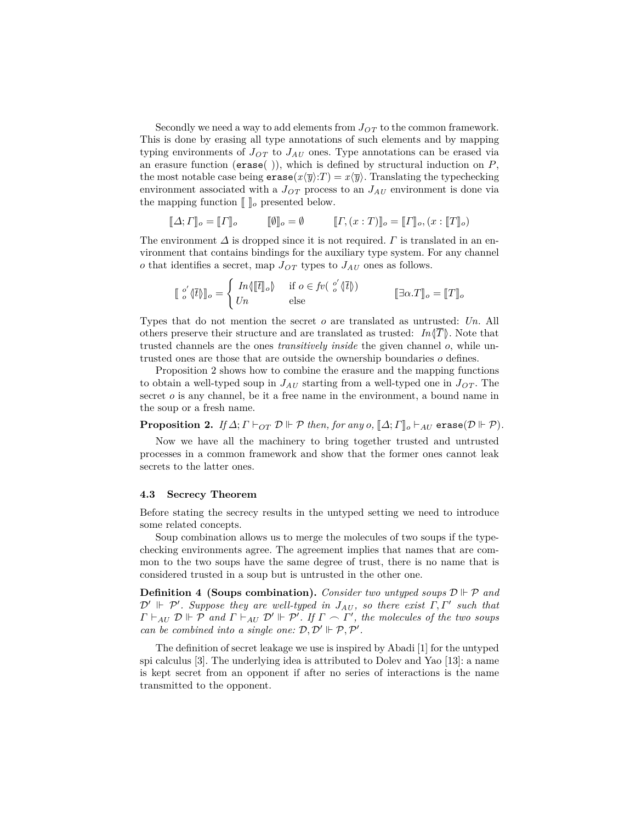Secondly we need a way to add elements from *JOT* to the common framework. This is done by erasing all type annotations of such elements and by mapping typing environments of  $J_{OT}$  to  $J_{AU}$  ones. Type annotations can be erased via an erasure function (erase( )), which is defined by structural induction on *P*, the most notable case being  $\text{erase}(x\langle \overline{y}\rangle:T) = x\langle \overline{y}\rangle$ . Translating the typechecking environment associated with a  $J_{OT}$  process to an  $J_{AU}$  environment is done via the mapping function  $\llbracket \; \rrbracket_o$  presented below.

$$
[\![\Delta; \Gamma]\!]_o = [\![\Gamma]\!]_o \qquad [\![\emptyset]\!]_o = \emptyset \qquad [\![\Gamma, (x : T)]\!]_o = [\![\Gamma]\!]_o, (x : [\![T]\!]_o)
$$

The environment  $\Delta$  is dropped since it is not required.  $\Gamma$  is translated in an environment that contains bindings for the auxiliary type system. For any channel *o* that identifies a secret, map  $J_{OT}$  types to  $J_{AU}$  ones as follows.

$$
\begin{aligned}\n\left[\begin{array}{cc} \circ' \langle \bar{t} \rangle \end{array}\right]_o = \n\begin{cases}\n\ln \langle \langle \bar{t} \rangle \end{array}\right]_o \\
\text{in} \quad \text{else}\n\end{aligned}\n\quad\n\text{if } o \in f \circ (\begin{array}{cc} \circ' \langle \bar{t} \rangle \end{array}\right)\n\quad\n\left[\exists \alpha \cdot T \right]_o = \llbracket T \rrbracket_o\n\end{aligned}
$$

Types that do not mention the secret *o* are translated as untrusted: *Un*. All others preserve their structure and are translated as trusted:  $In(\overline{T})$ . Note that trusted channels are the ones *transitively inside* the given channel *o*, while untrusted ones are those that are outside the ownership boundaries *o* defines.

Proposition [2](#page-11-0) shows how to combine the erasure and the mapping functions to obtain a well-typed soup in  $J_{AU}$  starting from a well-typed one in  $J_{OT}$ . The secret *o* is any channel, be it a free name in the environment, a bound name in the soup or a fresh name.

<span id="page-11-0"></span>**Proposition 2.** *If*  $\Delta$ ;  $\Gamma \vdash_{OT} \mathcal{D} \Vdash \mathcal{P}$  *then, for any o,*  $\llbracket \Delta$ ;  $\Gamma \rrbracket_o \vdash_{AU}$  erase( $\mathcal{D} \Vdash \mathcal{P}$ ).

Now we have all the machinery to bring together trusted and untrusted processes in a common framework and show that the former ones cannot leak secrets to the latter ones.

#### **4.3 Secrecy Theorem**

Before stating the secrecy results in the untyped setting we need to introduce some related concepts.

Soup combination allows us to merge the molecules of two soups if the typechecking environments agree. The agreement implies that names that are common to the two soups have the same degree of trust, there is no name that is considered trusted in a soup but is untrusted in the other one.

<span id="page-11-1"></span>**Definition 4** (Soups combination). *Consider two untyped soups*  $\mathcal{D} \Vdash \mathcal{P}$  and  $\mathcal{D}' \Vdash \mathcal{P}'$ . Suppose they are well-typed in  $J_{AU}$ , so there exist  $\Gamma, \Gamma'$  such that  $\Gamma \vdash_{AU} \mathcal{D} \Vdash \mathcal{P}$  and  $\Gamma \vdash_{AU} \mathcal{D}' \Vdash \mathcal{P}'$ . If  $\Gamma \frown \Gamma'$ , the molecules of the two soups *can be combined into a single one:*  $\mathcal{D}, \mathcal{D}' \Vdash \mathcal{P}, \mathcal{P}'$ .

The definition of secret leakage we use is inspired by Abadi [\[1\]](#page-13-1) for the untyped spi calculus [\[3\]](#page-14-13). The underlying idea is attributed to Dolev and Yao [\[13\]](#page-14-14): a name is kept secret from an opponent if after no series of interactions is the name transmitted to the opponent.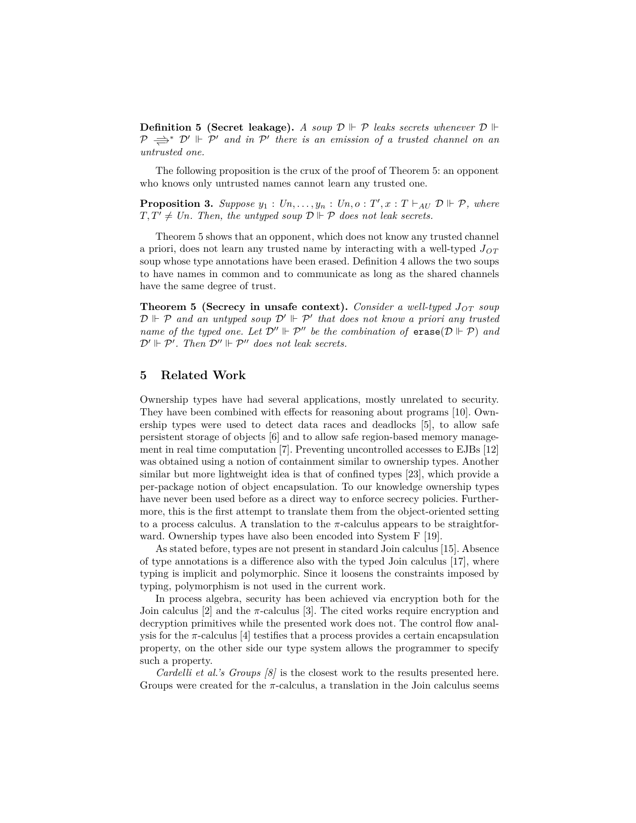**Definition 5** (Secret leakage). A soup  $\mathcal{D} \Vdash \mathcal{P}$  leaks secrets whenever  $\mathcal{D} \Vdash \mathcal{P}$  $P \implies^* D' \Vdash P'$  and in  $P'$  there is an emission of a trusted channel on an *untrusted one.*

The following proposition is the crux of the proof of Theorem [5:](#page-12-1) an opponent who knows only untrusted names cannot learn any trusted one.

**Proposition 3.** Suppose  $y_1 : Un, ..., y_n : Un, o : T', x : T \vdash_{AU} \mathcal{D} \Vdash \mathcal{P}$ , where  $T, T' \neq Un$ . Then, the untyped soup  $\mathcal{D} \Vdash \mathcal{P}$  does not leak secrets.

Theorem [5](#page-12-1) shows that an opponent, which does not know any trusted channel a priori, does not learn any trusted name by interacting with a well-typed *JOT* soup whose type annotations have been erased. Definition [4](#page-11-1) allows the two soups to have names in common and to communicate as long as the shared channels have the same degree of trust.

<span id="page-12-1"></span>**Theorem 5 (Secrecy in unsafe context).** *Consider a well-typed*  $J_{OT}$  *soup*  $\mathcal{D} \Vdash \mathcal{P}$  and an untyped soup  $\mathcal{D}' \Vdash \mathcal{P}'$  that does not know a priori any trusted *name of the typed one. Let*  $\mathcal{D}'' \Vdash \mathcal{P}''$  *be the combination of* erase( $\mathcal{D} \Vdash \mathcal{P}$ ) *and*  $\mathcal{D}' \Vdash \mathcal{P}'$ . Then  $\mathcal{D}'' \Vdash \mathcal{P}''$  does not leak secrets.

## <span id="page-12-0"></span>**5 Related Work**

Ownership types have had several applications, mostly unrelated to security. They have been combined with effects for reasoning about programs [\[10\]](#page-14-9). Ownership types were used to detect data races and deadlocks [\[5\]](#page-14-15), to allow safe persistent storage of objects [\[6\]](#page-14-16) and to allow safe region-based memory management in real time computation [\[7\]](#page-14-17). Preventing uncontrolled accesses to EJBs [\[12\]](#page-14-18) was obtained using a notion of containment similar to ownership types. Another similar but more lightweight idea is that of confined types [\[23\]](#page-14-19), which provide a per-package notion of object encapsulation. To our knowledge ownership types have never been used before as a direct way to enforce secrecy policies. Furthermore, this is the first attempt to translate them from the object-oriented setting to a process calculus. A translation to the *π*-calculus appears to be straightforward. Ownership types have also been encoded into System F [\[19\]](#page-14-20).

As stated before, types are not present in standard Join calculus [\[15\]](#page-14-1). Absence of type annotations is a difference also with the typed Join calculus  $[17]$ , where typing is implicit and polymorphic. Since it loosens the constraints imposed by typing, polymorphism is not used in the current work.

In process algebra, security has been achieved via encryption both for the Join calculus  $[2]$  and the  $\pi$ -calculus  $[3]$ . The cited works require encryption and decryption primitives while the presented work does not. The control flow analysis for the  $\pi$ -calculus [\[4\]](#page-14-21) testifies that a process provides a certain encapsulation property, on the other side our type system allows the programmer to specify such a property.

*Cardelli et al.'s Groups [\[8\]](#page-14-12)* is the closest work to the results presented here. Groups were created for the *π*-calculus, a translation in the Join calculus seems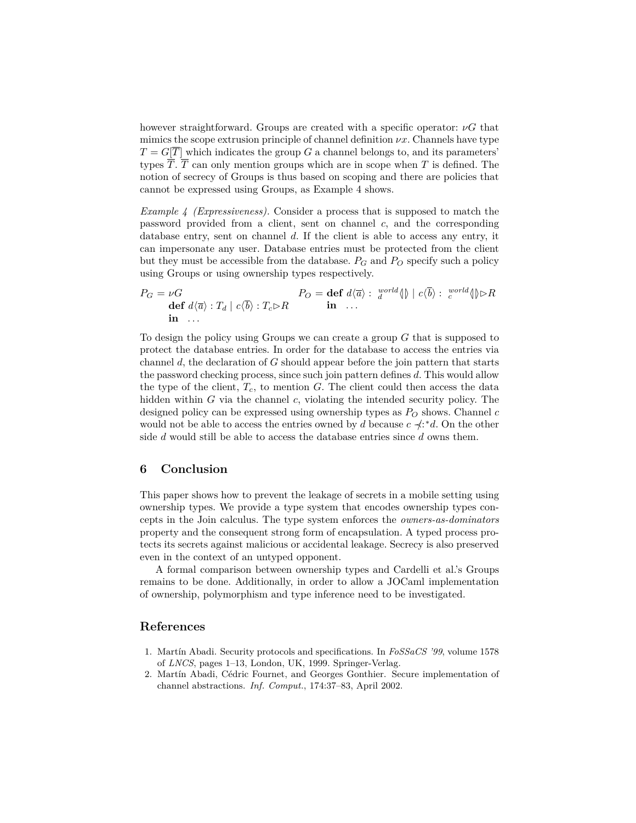however straightforward. Groups are created with a specific operator: *νG* that mimics the scope extrusion principle of channel definition *νx*. Channels have type  $T = G[\overline{T}]$  which indicates the group *G* a channel belongs to, and its parameters' types  $\overline{T}$ .  $\overline{T}$  can only mention groups which are in scope when  $T$  is defined. The notion of secrecy of Groups is thus based on scoping and there are policies that cannot be expressed using Groups, as Example [4](#page-13-3) shows.

<span id="page-13-3"></span>*Example 4 (Expressiveness).* Consider a process that is supposed to match the password provided from a client, sent on channel *c*, and the corresponding database entry, sent on channel *d*. If the client is able to access any entry, it can impersonate any user. Database entries must be protected from the client but they must be accessible from the database.  $P_G$  and  $P_O$  specify such a policy using Groups or using ownership types respectively.

$$
P_G = \nu G
$$
  
\n
$$
\mathbf{d}\mathbf{e} \mathbf{f} \ d\langle \overline{a} \rangle : T_d \mid c\langle \overline{b} \rangle : T_c \triangleright R
$$
  
\n
$$
P_O = \mathbf{d}\mathbf{e} \mathbf{f} \ d\langle \overline{a} \rangle : \ {a}^{\text{world}} \langle \overline{b} \rangle : c^{\text{world}} \langle \overline{b} \rangle : \mathcal{C}
$$
  
\n
$$
\mathbf{in} \ \ldots
$$
  
\n
$$
\mathbf{in} \ \ldots
$$

To design the policy using Groups we can create a group *G* that is supposed to protect the database entries. In order for the database to access the entries via channel *d*, the declaration of *G* should appear before the join pattern that starts the password checking process, since such join pattern defines *d*. This would allow the type of the client,  $T_c$ , to mention  $G$ . The client could then access the data hidden within *G* via the channel *c*, violating the intended security policy. The designed policy can be expressed using ownership types as *P<sup>O</sup>* shows. Channel *c* would not be able to access the entries owned by *d* because *c* ≺*/*: <sup>∗</sup>*d*. On the other side *d* would still be able to access the database entries since *d* owns them.

## <span id="page-13-0"></span>**6 Conclusion**

This paper shows how to prevent the leakage of secrets in a mobile setting using ownership types. We provide a type system that encodes ownership types concepts in the Join calculus. The type system enforces the *owners-as-dominators* property and the consequent strong form of encapsulation. A typed process protects its secrets against malicious or accidental leakage. Secrecy is also preserved even in the context of an untyped opponent.

A formal comparison between ownership types and Cardelli et al.'s Groups remains to be done. Additionally, in order to allow a JOCaml implementation of ownership, polymorphism and type inference need to be investigated.

### **References**

- <span id="page-13-1"></span>1. Mart´ın Abadi. Security protocols and specifications. In *FoSSaCS '99*, volume 1578 of *LNCS*, pages 1–13, London, UK, 1999. Springer-Verlag.
- <span id="page-13-2"></span>2. Martín Abadi, Cédric Fournet, and Georges Gonthier. Secure implementation of channel abstractions. *Inf. Comput.*, 174:37–83, April 2002.